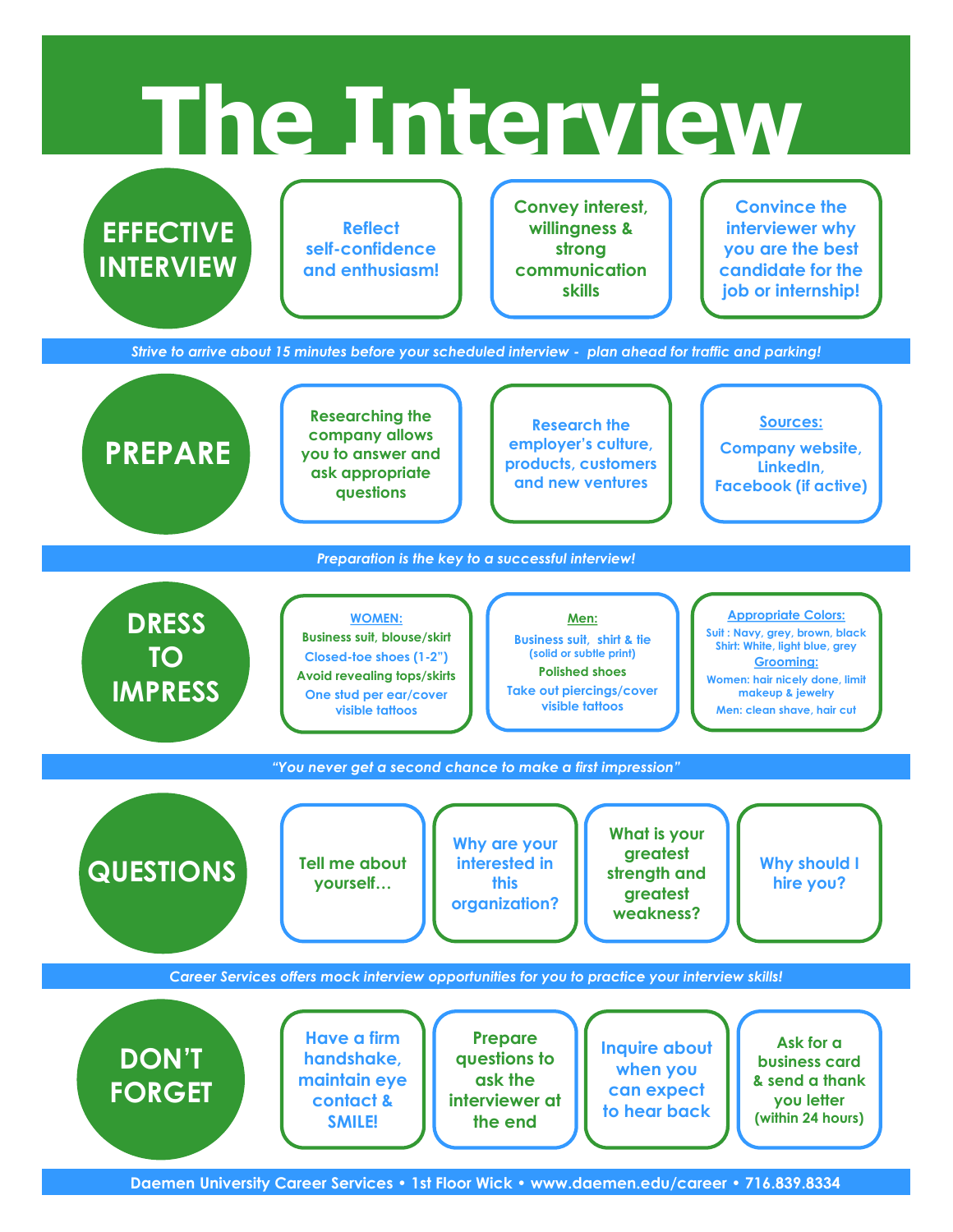